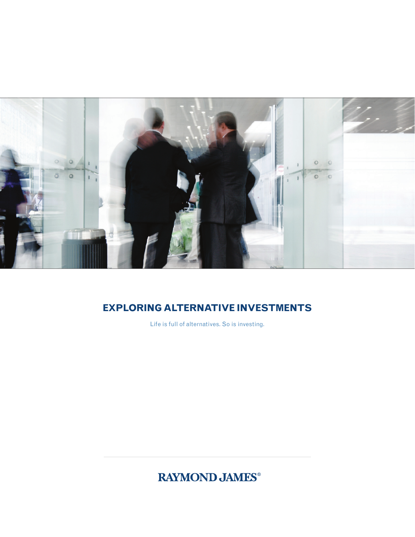

# **EXPLORING ALTERNATIVE INVESTMENTS**

Life is full of alternatives. So is investing.

**RAYMOND JAMES®**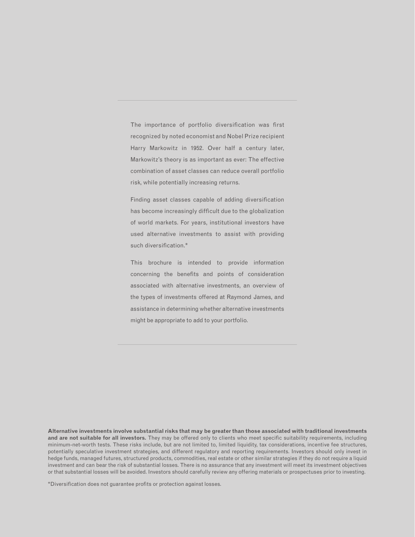The importance of portfolio diversification was first recognized by noted economist and Nobel Prize recipient Harry Markowitz in 1952. Over half a century later, Markowitz's theory is as important as ever: The effective combination of asset classes can reduce overall portfolio risk, while potentially increasing returns.

Finding asset classes capable of adding diversification has become increasingly difficult due to the globalization of world markets. For years, institutional investors have used alternative investments to assist with providing such diversification.\*

This brochure is intended to provide information concerning the benefits and points of consideration associated with alternative investments, an overview of the types of investments offered at Raymond James, and assistance in determining whether alternative investments might be appropriate to add to your portfolio.

**Alternative investments involve substantial risks that may be greater than those associated with traditional investments and are not suitable for all investors.** They may be offered only to clients who meet specific suitability requirements, including minimum-net-worth tests. These risks include, but are not limited to, limited liquidity, tax considerations, incentive fee structures, potentially speculative investment strategies, and different regulatory and reporting requirements. Investors should only invest in hedge funds, managed futures, structured products, commodities, real estate or other similar strategies if they do not require a liquid investment and can bear the risk of substantial losses. There is no assurance that any investment will meet its investment objectives or that substantial losses will be avoided. Investors should carefully review any offering materials or prospectuses prior to investing.

\*Diversification does not guarantee profits or protection against losses.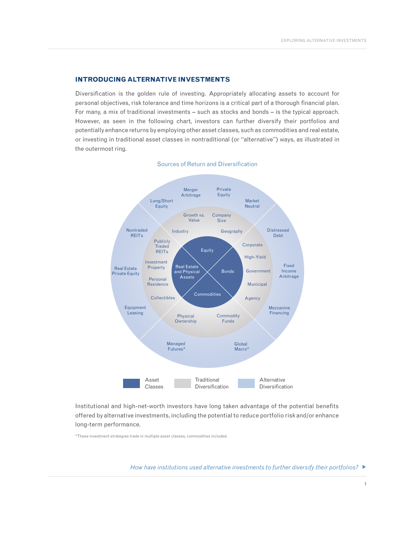#### **INTRODUCING ALTERNATIVE INVESTMENTS**

Diversification is the golden rule of investing. Appropriately allocating assets to account for personal objectives, risk tolerance and time horizons is a critical part of a thorough financial plan. For many, a mix of traditional investments – such as stocks and bonds – is the typical approach. However, as seen in the following chart, investors can further diversify their portfolios and potentially enhance returns by employing other asset classes, such as commodities and real estate, or investing in traditional asset classes in nontraditional (or "alternative") ways, as illustrated in the outermost ring.



## Sources of Return and Diversification

Institutional and high-net-worth investors have long taken advantage of the potential benefits offered by alternative investments, including the potential to reduce portfolio risk and/or enhance long-term performance.

\*These investment strategies trade in multiple asset classes, commodities included.

*How have institutions used alternative investments to further diversify their portfolios?*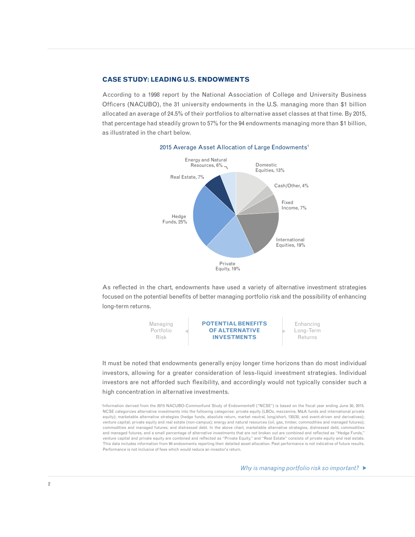### **CASE STUDY: LEADING U.S. ENDOWMENTS**

According to a 1998 report by the National Association of College and University Business Officers (NACUBO), the 31 university endowments in the U.S. managing more than \$1 billion allocated an average of 24.5% of their portfolios to alternative asset classes at that time. By 2015, that percentage had steadily grown to 57% for the 94 endowments managing more than \$1 billion, as illustrated in the chart below.



#### 2015 Average Asset Allocation of Large Endowments<sup>1</sup>

As reflected in the chart, endowments have used a variety of alternative investment strategies focused on the potential benefits of better managing portfolio risk and the possibility of enhancing long-term returns.



It must be noted that endowments generally enjoy longer time horizons than do most individual investors, allowing for a greater consideration of less-liquid investment strategies. Individual investors are not afforded such flexibility, and accordingly would not typically consider such a high concentration in alternative investments.

1 Information derived from the 2015 NACUBO-Commonfund Study of Endowments® ("NCSE") is based on the fiscal year ending June 30, 2015. NCSE categorizes alternative investments into the following categories: private equity (LBOs, mezzanine, M&A funds and international private equity); marketable alternative strategies (hedge funds, absolute return, market neutral, long/short, 130/30, and event-driven and derivatives); venture capital; private equity and real estate (non-campus); energy and natural resources (oil, gas, timber, commodities and managed futures); commodities and managed futures; and distressed debt. In the above chart, marketable alternative strategies, distressed debt, commodities and managed futures, and a small percentage of alternative investments that are not broken out are combined and reflected as "Hedge Funds," venture capital and private equity are combined and reflected as "Private Equity," and "Real Estate" consists of private equity and real estate. This data includes information from 94 endowments reporting their detailed asset allocation. Past performance is not indicative of future results. Performance is not inclusive of fees which would reduce an investor's return.

*Why is managing portfolio risk so important?*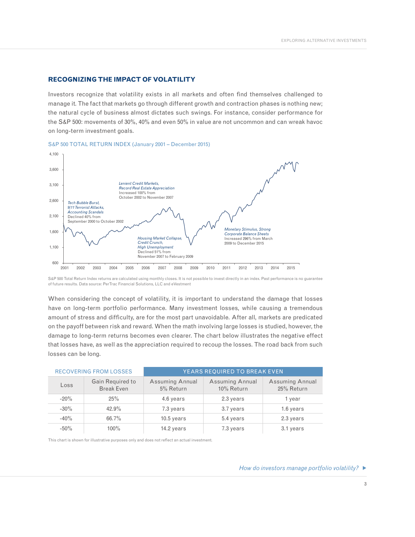### **RECOGNIZING THE IMPACT OF VOLATILITY**

Investors recognize that volatility exists in all markets and often find themselves challenged to manage it. The fact that markets go through different growth and contraction phases is nothing new; the natural cycle of business almost dictates such swings. For instance, consider performance for the S&P 500: movements of 30%, 40% and even 50% in value are not uncommon and can wreak havoc on long-term investment goals.



#### S&P 500 TOTAL RETURN INDEX (January 2001 – December 2015)

S&P 500 Total Return Index returns are calculated using monthly closes. It is not possible to invest directly in an index. Past performance is no guarantee of future results. Data source: PerTrac Financial Solutions, LLC and eVestment

When considering the concept of volatility, it is important to understand the damage that losses have on long-term portfolio performance. Many investment losses, while causing a tremendous amount of stress and difficulty, are for the most part unavoidable. After all, markets are predicated on the payoff between risk and reward. When the math involving large losses is studied, however, the damage to long-term returns becomes even clearer. The chart below illustrates the negative effect that losses have, as well as the appreciation required to recoup the losses. The road back from such losses can be long.

|         | <b>RECOVERING FROM LOSSES</b>         | YEARS REQUIRED TO BREAK EVEN |                               |                                      |  |  |  |  |  |
|---------|---------------------------------------|------------------------------|-------------------------------|--------------------------------------|--|--|--|--|--|
| Loss    | Gain Required to<br><b>Break Even</b> | Assuming Annual<br>5% Return | Assuming Annual<br>10% Return | <b>Assuming Annual</b><br>25% Return |  |  |  |  |  |
| $-20%$  | 25%                                   | 4.6 years                    | 2.3 years                     | 1 year                               |  |  |  |  |  |
| $-30\%$ | 42.9%                                 | 7.3 years                    | 3.7 years                     | 1.6 years                            |  |  |  |  |  |
| $-40%$  | 66.7%                                 | $10.5$ years                 | 5.4 years                     | 2.3 years                            |  |  |  |  |  |
| $-50\%$ | $100\%$                               | 14.2 years                   | 7.3 years                     | 3.1 years                            |  |  |  |  |  |

This chart is shown for illustrative purposes only and does not reflect an actual investment.

#### *How do investors manage portfolio volatility?*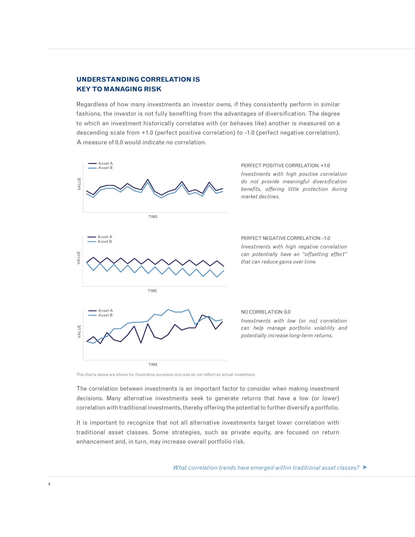# **UNDERSTANDING CORRELATION IS KEY TO MANAGING RISK**

A measure of 0.0 would indicate no correlation. to which an investment historically correlates with (or behaves like) another is measured on a descending scale from +1.0 (perfect positive correlation) to -1.0 (perfect negative correlation). Regardless of how many investments an investor owns, if they consistently perform in similar fashions, the investor is not fully benefiting from the advantages of diversification. The degree



The charts above are shown for illustrative purposes only and do not reflect an actual investment.

The correlation between investments is an important factor to consider when making investment correlation with traditional investments, thereby offering the potential to further diversify a portfolio. decisions. Many alternative investments seek to generate returns that have a low (or lower)

It is important to recognize that not all alternative investments target lower correlation with traditional asset classes. Some strategies, such as private equity, are focused on return enhancement and, in turn, may increase overall portfolio risk.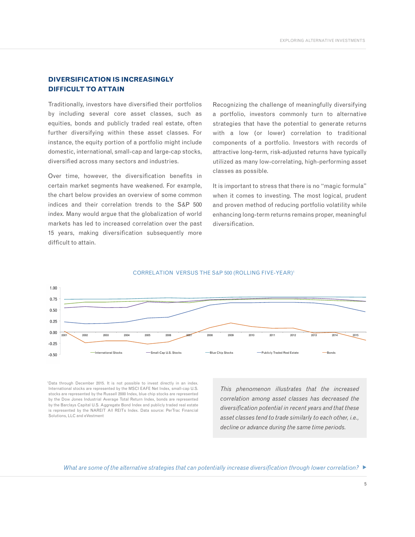# **DIVERSIFICATION IS INCREASINGLY DIFFICULT TO ATTAIN**

Traditionally, investors have diversified their portfolios by including several core asset classes, such as equities, bonds and publicly traded real estate, often further diversifying within these asset classes. For instance, the equity portion of a portfolio might include domestic, international, small-cap and large-cap stocks, diversified across many sectors and industries.

Over time, however, the diversification benefits in certain market segments have weakened. For example, the chart below provides an overview of some common indices and their correlation trends to the S&P 500 index. Many would argue that the globalization of world markets has led to increased correlation over the past 15 years, making diversification subsequently more difficult to attain.

Recognizing the challenge of meaningfully diversifying a portfolio, investors commonly turn to alternative strategies that have the potential to generate returns with a low (or lower) correlation to traditional components of a portfolio. Investors with records of attractive long-term, risk-adjusted returns have typically utilized as many low-correlating, high-performing asset classes as possible.

It is important to stress that there is no "magic formula" when it comes to investing. The most logical, prudent and proven method of reducing portfolio volatility while enhancing long-term returns remains proper, meaningful diversification.



### CORRELATION VERSUS THE S&P 500 (ROLLING FIVE-YEAR)1

1 Data through December 2015. It is not possible to invest directly in an index. International stocks are represented by the MSCI EAFE Net Index, small-cap U.S. stocks are represented by the Russell 2000 Index, blue chip stocks are represented by the Dow Jones Industrial Average Total Return Index, bonds are represented by the Barclays Capital U.S. Aggregate Bond Index and publicly traded real estate is represented by the NAREIT All REITs Index. Data source: PerTrac Financial Solutions, LLC and eVestment

*This phenomenon illustrates that the increased correlation among asset classes has decreased the diversification potential in recent years and that these asset classes tend to trade similarly to each other, i.e., decline or advance during the same time periods.*

*What are some of the alternative strategies that can potentially increase diversification through lower correlation?* ▶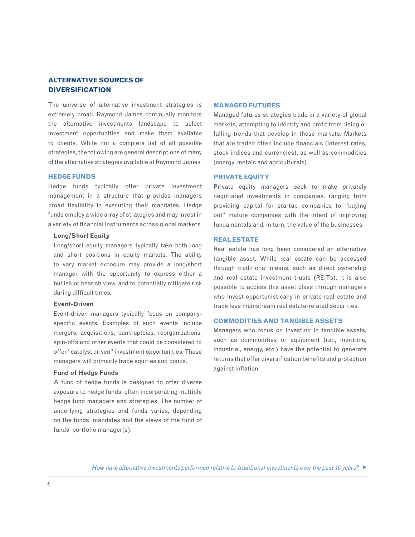# **ALTERNATIVE SOURCES OF DIVERSIFICATION**

The universe of alternative investment strategies is extremely broad. Raymond James continually monitors the alternative investments landscape to select investment opportunities and make them available to clients. While not a complete list of all possible strategies, the following are general descriptions of many of the alternative strategies available at Raymond James.

#### **HEDGE FUNDS**

Hedge funds typically offer private investment management in a structure that provides managers broad flexibility in executing their mandates. Hedge funds employ a wide array of strategies and may invest in a variety of financial instruments across global markets.

#### **Long/Short Equity**

Long/short equity managers typically take both long and short positions in equity markets. The ability to vary market exposure may provide a long/short manager with the opportunity to express either a bullish or bearish view, and to potentially mitigate risk during difficult times.

### **Event-Driven**

Event-driven managers typically focus on companyspecific events. Examples of such events include mergers, acquisitions, bankruptcies, reorganizations, spin-offs and other events that could be considered to offer "catalyst driven" investment opportunities. These managers will primarily trade equities and bonds.

#### **Fund of Hedge Funds**

A fund of hedge funds is designed to offer diverse exposure to hedge funds, often incorporating multiple hedge fund managers and strategies. The number of underlying strategies and funds varies, depending on the funds' mandates and the views of the fund of funds' portfolio manager(s).

#### **MANAGED FUTURES**

Managed futures strategies trade in a variety of global markets, attempting to identify and profit from rising or falling trends that develop in these markets. Markets that are traded often include financials (interest rates, stock indices and currencies), as well as commodities (energy, metals and agriculturals).

#### **PRIVATE EQUITY**

Private equity managers seek to make privately negotiated investments in companies, ranging from providing capital for startup companies to "buying out" mature companies with the intent of improving fundamentals and, in turn, the value of the businesses.

## **REAL ESTATE**

Real estate has long been considered an alternative tangible asset. While real estate can be accessed through traditional means, such as direct ownership and real estate investment trusts (REITs), it is also possible to access this asset class through managers who invest opportunistically in private real estate and trade less mainstream real estate-related securities.

## **COMMODITIES AND TANGIBLE ASSETS**

Managers who focus on investing in tangible assets, such as commodities or equipment (rail, maritime, industrial, energy, etc.) have the potential to generate returns that offer diversification benefits and protection against inflation.

*How have alternative investments performed relative to traditional investments over the past 16 years?*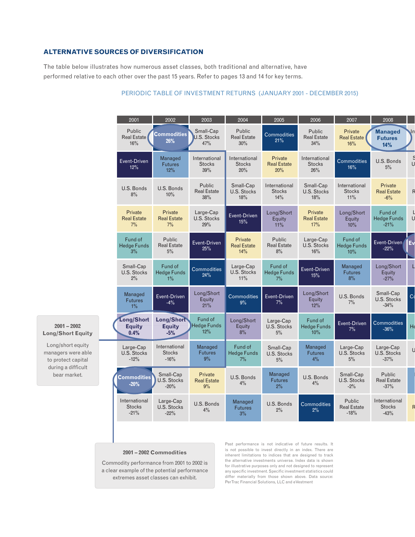# **ALTERNATIVE SOURCES OF DIVERSIFICATION**

The table below illustrates how numerous asset classes, both traditional and alternative, have performed relative to each other over the past 15 years. Refer to pages 13 and 14 for key terms.

|                                                                                                     | 2001                                     | 2002                                      | 2003                                   | 2004                                   | 2005                                  | 2006                                   | 2007                                   | 2008                                     |                |
|-----------------------------------------------------------------------------------------------------|------------------------------------------|-------------------------------------------|----------------------------------------|----------------------------------------|---------------------------------------|----------------------------------------|----------------------------------------|------------------------------------------|----------------|
|                                                                                                     | Public<br><b>Real Estate</b><br>16%      | <b>Commodities</b><br>26%                 | Small-Cap<br><b>U.S. Stocks</b><br>47% | Public<br><b>Real Estate</b><br>30%    | Commodities<br>21%                    | Public<br><b>Real Estate</b><br>34%    | Private<br><b>Real Estate</b><br>16%   | <b>Managed</b><br><b>Futures</b><br>14%  |                |
|                                                                                                     | Event-Driven<br>12%                      | Managed<br>Futures<br>12%                 | International<br><b>Stocks</b><br>39%  | International<br><b>Stocks</b><br>20%  | Private<br><b>Real Estate</b><br>20%  | International<br><b>Stocks</b><br>26%  | <b>Commodities</b><br>16%              | U.S. Bonds<br>5%                         |                |
|                                                                                                     | U.S. Bonds<br>8%                         | U.S. Bonds<br>10%                         | Public<br><b>Real Estate</b><br>38%    | Small-Cap<br><b>U.S. Stocks</b><br>18% | International<br><b>Stocks</b><br>14% | Small-Cap<br><b>U.S. Stocks</b><br>18% | International<br><b>Stocks</b><br>11%  | Private<br><b>Real Estate</b><br>$-6%$   | $\overline{R}$ |
|                                                                                                     | Private<br><b>Real Estate</b><br>7%      | Private<br><b>Real Estate</b><br>7%       | Large-Cap<br>U.S. Stocks<br>29%        | Event-Driven<br>15%                    | Long/Short<br>Equity<br>11%           | Private<br><b>Real Estate</b><br>17%   | Long/Short<br>Equity<br>10%            | Fund of<br><b>Hedge Funds</b><br>$-21%$  |                |
|                                                                                                     | Fund of<br><b>Hedge Funds</b><br>3%      | Public<br><b>Real Estate</b><br>5%        | Event-Driven<br>25%                    | Private<br><b>Real Estate</b><br>14%   | Public<br><b>Real Estate</b><br>8%    | Large-Cap<br><b>U.S. Stocks</b><br>16% | Fund of<br><b>Hedge Funds</b><br>10%   | Event-Driven<br>$-22%$                   | ◢<br><b>Ev</b> |
|                                                                                                     | Small-Cap<br>U.S. Stocks<br>2%           | Fund of<br><b>Hedge Funds</b><br>$1\%$    | <b>Commodities</b><br>24%              | Large-Cap<br>U.S. Stocks<br>11%        | Fund of<br><b>Hedge Funds</b><br>7%   | Event-Driven<br>15%                    | Managed<br><b>Futures</b><br>8%        | Long/Short<br>Equity<br>$-27%$           | L              |
|                                                                                                     | Managed<br><b>Futures</b><br>$1\%$       | Event-Driven<br>$-4\%$                    | Long/Short<br>Equity<br>21%            | <b>Commodities</b><br>9%               | Event-Driven<br>7%                    | Long/Short<br>Equity<br>12%            | U.S. Bonds<br>7%                       | Small-Cap<br>U.S. Stocks<br>$-34%$       | C <sub>0</sub> |
| $2001 - 2002$<br>Long/Short Equity                                                                  | Long/Short<br><b>Equity</b><br>0.4%      | Long/Short<br><b>Equity</b><br>$-5%$      | Fund of<br><b>Hedge Funds</b><br>12%   | Long/Short<br>Equity<br>8%             | Large-Cap<br>U.S. Stocks<br>$5\%$     | Fund of<br><b>Hedge Funds</b><br>10%   | Event-Driven<br>7%                     | <b>Commodities</b><br>$-36%$             | He             |
| Long/short equity<br>managers were able<br>to protect capital<br>during a difficult<br>bear market. | Large-Cap<br>U.S. Stocks<br>$-12%$       | International<br><b>Stocks</b><br>$-16%$  | Managed<br><b>Futures</b><br>$9\%$     | Fund of<br><b>Hedge Funds</b><br>7%    | Small-Cap<br>U.S. Stocks<br>$5\%$     | Managed<br><b>Futures</b><br>4%        | Large-Cap<br>U.S. Stocks<br>5%         | Large-Cap<br>U.S. Stocks<br>$-37%$       |                |
|                                                                                                     | <b>Commodities</b><br>$-20%$             | Small-Cap<br><b>U.S. Stocks</b><br>$-20%$ | Private<br><b>Real Estate</b><br>9%    | U.S. Bonds<br>4%                       | Managed<br><b>Futures</b><br>$2\%$    | U.S. Bonds<br>4%                       | Small-Cap<br>U.S. Stocks<br>$-2\%$     | Public<br><b>Real Estate</b><br>$-37%$   |                |
|                                                                                                     | International<br><b>Stocks</b><br>$-21%$ | Large-Cap<br>U.S. Stocks<br>$-22%$        | U.S. Bonds<br>4%                       | Managed<br><b>Futures</b><br>3%        | U.S. Bonds<br>2%                      | Commodities<br>2%                      | Public<br><b>Real Estate</b><br>$-18%$ | International<br><b>Stocks</b><br>$-43%$ |                |

# PERIODIC TABLE OF INVESTMENT RETURNS (JANUARY 2001 - DECEMBER 2015)

#### **2001 – 2002 Commodities**

Commodity performance from 2001 to 2002 is a clear example of the potential performance extremes asset classes can exhibit.

Past performance is not indicative of future results. It is not possible to invest directly in an index. There are inherent limitations to indices that are designed to track the alternative investments universe. Index data is shown for illustrative purposes only and not designed to represent any specific investment. Specific investment statistics could differ materially from those shown above. Data source: PerTrac Financial Solutions, LLC and eVestment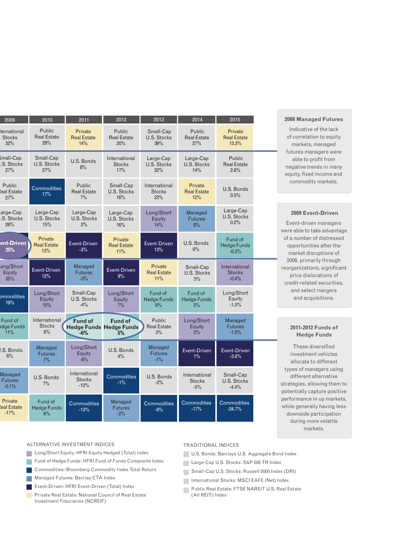| 2009                                | 2010                                 | 2011                                     | 2012                                                   | 2013                                   | 2014                                    | 2015                                       |  |
|-------------------------------------|--------------------------------------|------------------------------------------|--------------------------------------------------------|----------------------------------------|-----------------------------------------|--------------------------------------------|--|
| ternational<br><b>Stocks</b><br>32% | Public<br><b>Real Estate</b><br>28%  | Private<br><b>Real Estate</b><br>14%     | Public<br><b>Real Estate</b><br>20%                    | Small-Cap<br>U.S. Stocks<br>39%        | Public<br><b>Real Estate</b><br>27%     | Private<br><b>Real Estate</b><br>13.3%     |  |
| mall-Cap<br>.S. Stocks<br>27%       | Small-Cap<br>U.S. Stocks<br>27%      | U.S. Bonds<br>8%                         | International<br><b>Stocks</b><br>17%                  | Large-Cap<br><b>U.S. Stocks</b><br>32% | Large-Cap<br>U.S. Stocks<br>14%         | Public<br><b>Real Estate</b><br>2.8%       |  |
| Public<br>leal Estate<br>27%        | <b>Commodities</b><br>17%            | Public<br><b>Real Estate</b><br>$7\%$    | Small-Cap<br>U.S. Stocks<br>16%                        | International<br><b>Stocks</b><br>23%  | Private<br><b>Real Estate</b><br>12%    | U.S. Bonds<br>0.5%                         |  |
| arge-Cap<br>.S. Stocks<br>26%       | Large-Cap<br>U.S. Stocks<br>15%      | Large-Cap<br>U.S. Stocks<br>2%           | Large-Cap<br><b>U.S. Stocks</b><br>16%                 | Long/Short<br>Equity<br>14%            | Managed<br>Futures<br>8%                | Large-Cap<br>U.S. Stocks<br>0.2%           |  |
| ent-Driven<br>25%                   | Private<br><b>Real Estate</b><br>13% | Event-Driven<br>$-3%$                    | Private<br><b>Real Estate</b><br>11%                   | Event-Driven<br>13%                    | U.S. Bonds<br>$6\%$                     | Fund of<br><b>Hedge Funds</b><br>$-0.3%$   |  |
| ong/Short<br>Equity<br>25%          | Event-Driven<br>12%                  | Managed<br><b>Futures</b><br>$-3%$       | Event-Driven<br>$9\%$                                  | Private<br><b>Real Estate</b><br>11%   | Small-Cap<br>U.S. Stocks<br>$5\%$       | International<br><b>Stocks</b><br>$-0.4\%$ |  |
| <i>mmodities</i><br>19%             | Long/Short<br>Equity<br>10%          | Small-Cap<br>U.S. Stocks<br>$-4%$        | Long/Short<br>Equity<br>$7\%$                          | Fund of<br><b>Hedge Funds</b><br>9%    | Fund of<br><b>Hedge Funds</b><br>3%     | Long/Short<br>Equity<br>$-1.0\%$           |  |
| Fund of<br>edge Funds<br>11%        | International<br><b>Stocks</b><br>8% | <b>Fund of</b><br>$-6%$                  | <b>Fund of</b><br><b>Hedge Funds Hedge Funds</b><br>5% | Public<br><b>Real Estate</b><br>3%     | Long/Short<br>Equity<br>$2\%$           | <b>Managed</b><br>Futures<br>$-1.5\%$      |  |
| J.S. Bonds<br>6%                    | Managed<br><b>Futures</b><br>$7\%$   | Long/Short<br>Equity<br>$-8%$            | U.S. Bonds<br>$4\%$                                    | Managed<br><b>Futures</b><br>$-1\%$    | Event-Driven<br>$1\%$                   | Event-Driven<br>$-3.6%$                    |  |
| Managed<br>Futures<br>$-0.1%$       | U.S. Bonds<br>$7\%$                  | International<br><b>Stocks</b><br>$-12%$ | Commodities<br>$-1\%$                                  | U.S. Bonds<br>$-2\%$                   | International<br><b>Stocks</b><br>$-5%$ | Small-Cap<br>U.S. Stocks<br>$-4.4%$        |  |
| Private<br>leal Estate<br>$-17%$    | Fund of<br><b>Hedge Funds</b><br>6%  | <b>Commodities</b><br>$-13%$             | Managed<br><b>Futures</b><br>$-2\%$                    | Commodities<br>$-9\%$                  | <b>Commodities</b><br>$-17%$            | <b>Commodities</b><br>$-24.7%$             |  |

## **2008 Managed Futures**

Indicative of the lack of correlation to equity markets, managed futures managers were able to profit from negative trends in many equity, fixed income and commodity markets.

### **2009 Event-Driven**

Event-driven managers were able to take advantage of a number of distressed opportunities after the market disruptions of 2008, primarily through reorganizations, significant price dislocations of credit-related securities, and select mergers and acquisitions.

#### **2011-2012 Funds of Hedge Funds**

These diversified investment vehicles allocate to different types of managers using different alternative strategies, allowing them to potentially capture positive performance in up markets, while generally having less downside participation during more volatile markets.

#### ALTERNATIVE INVESTMENT INDICES

- **Long/Short Equity: HFRI Equity Hedged (Total) Index**
- Fund of Hedge Funds: HFRI Fund of Funds Composite Index
- Commodities: Bloomberg Commodity Index Total Return Managed Futures: Barclay CTA Index
- Event-Driven: HFRI Event-Driven (Total) Index
- **Private Real Estate: National Council of Real Estate** Investment Fiduciaries (NCREIF)

#### TRADITIONAL INDICES

- U.S. Bonds: Barclays U.S. Aggregate Bond Index
- Large-Cap U.S. Stocks: S&P 500 TR Index
- Small-Cap U.S. Stocks: Russell 2000 Index (DRI)
- International Stocks: MSCI EAFE (Net) Index
- Public Real Estate: FTSE NAREIT U.S. Real Estate (All REIT) Index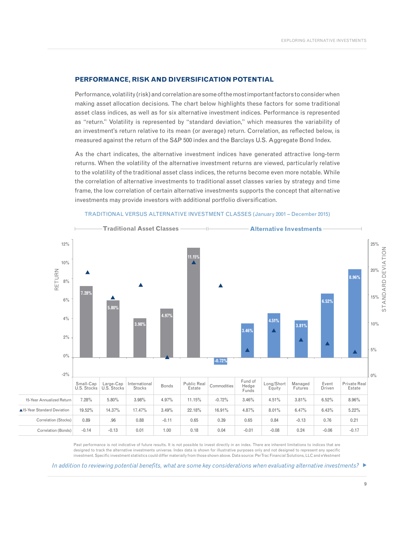#### **PERFORMANCE, RISK AND DIVERSIFICATION POTENTIAL**

Performance, volatility (risk) and correlation are some of the most important factors to consider when making asset allocation decisions. The chart below highlights these factors for some traditional asset class indices, as well as for six alternative investment indices. Performance is represented as "return." Volatility is represented by "standard deviation," which measures the variability of an investment's return relative to its mean (or average) return. Correlation, as reflected below, is measured against the return of the S&P 500 index and the Barclays U.S. Aggregate Bond Index.

As the chart indicates, the alternative investment indices have generated attractive long-term returns. When the volatility of the alternative investment returns are viewed, particularly relative to the volatility of the traditional asset class indices, the returns become even more notable. While the correlation of alternative investments to traditional asset classes varies by strategy and time frame, the low correlation of certain alternative investments supports the concept that alternative investments may provide investors with additional portfolio diversification.



#### TRADITIONAL VERSUS ALTERNATIVE INVESTMENT CLASSES (January 2001 – December 2015)

Past performance is not indicative of future results. It is not possible to invest directly in an index. There are inherent limitations to indices that are designed to track the alternative investments universe. Index data is shown for illustrative purposes only and not designed to represent any specific investment. Specific investment statistics could differ materially from those shown above. Data source: PerTrac Financial Solutions, LLC and eVestment

*In addition to reviewing potential benefits, what are some key considerations when evaluating alternative investments?*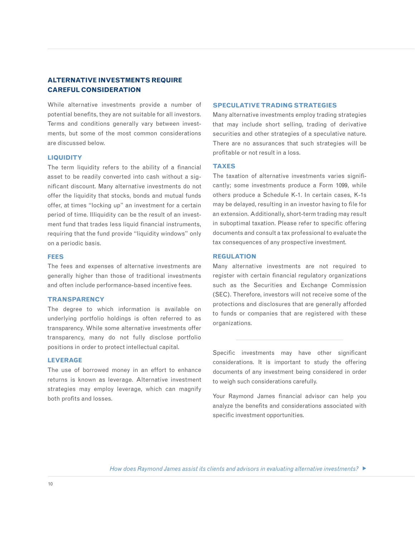# **ALTERNATIVE INVESTMENTS REQUIRE CAREFUL CONSIDERATION**

While alternative investments provide a number of potential benefits, they are not suitable for all investors. Terms and conditions generally vary between investments, but some of the most common considerations are discussed below.

### **LIQUIDITY**

The term liquidity refers to the ability of a financial asset to be readily converted into cash without a significant discount. Many alternative investments do not offer the liquidity that stocks, bonds and mutual funds offer, at times "locking up" an investment for a certain period of time. Illiquidity can be the result of an investment fund that trades less liquid financial instruments, requiring that the fund provide "liquidity windows" only on a periodic basis.

## **FEES**

The fees and expenses of alternative investments are generally higher than those of traditional investments and often include performance-based incentive fees.

### **TRANSPARENCY**

The degree to which information is available on underlying portfolio holdings is often referred to as transparency. While some alternative investments offer transparency, many do not fully disclose portfolio positions in order to protect intellectual capital.

## **LEVERAGE**

The use of borrowed money in an effort to enhance returns is known as leverage. Alternative investment strategies may employ leverage, which can magnify both profits and losses.

### **SPECULATIVE TRADING STRATEGIES**

Many alternative investments employ trading strategies that may include short selling, trading of derivative securities and other strategies of a speculative nature. There are no assurances that such strategies will be profitable or not result in a loss.

#### **TAXES**

The taxation of alternative investments varies significantly; some investments produce a Form 1099, while others produce a Schedule K-1. In certain cases, K-1s may be delayed, resulting in an investor having to file for an extension. Additionally, short-term trading may result in suboptimal taxation. Please refer to specific offering documents and consult a tax professional to evaluate the tax consequences of any prospective investment.

## **REGULATION**

Many alternative investments are not required to register with certain financial regulatory organizations such as the Securities and Exchange Commission (SEC). Therefore, investors will not receive some of the protections and disclosures that are generally afforded to funds or companies that are registered with these organizations.

Specific investments may have other significant considerations. It is important to study the offering documents of any investment being considered in order to weigh such considerations carefully.

Your Raymond James financial advisor can help you analyze the benefits and considerations associated with specific investment opportunities.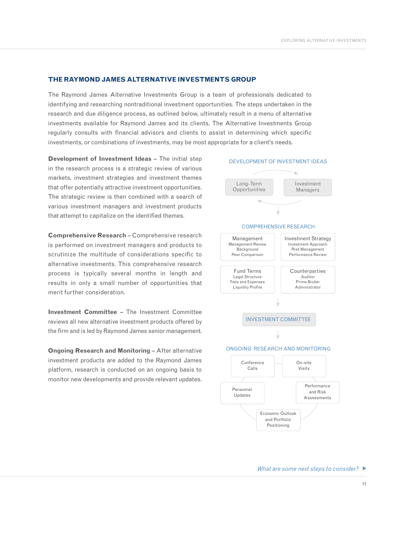#### **THE RAYMOND JAMES ALTERNATIVE INVESTMENTS GROUP**

The Raymond James Alternative Investments Group is a team of professionals dedicated to identifying and researching nontraditional investment opportunities. The steps undertaken in the research and due diligence process, as outlined below, ultimately result in a menu of alternative investments available for Raymond James and its clients. The Alternative Investments Group regularly consults with financial advisors and clients to assist in determining which specific investments, or combinations of investments, may be most appropriate for a client's needs.

**Development of Investment Ideas** – The initial step in the research process is a strategic review of various markets, investment strategies and investment themes that offer potentially attractive investment opportunities. The strategic review is then combined with a search of various investment managers and investment products that attempt to capitalize on the identified themes.

**Comprehensive Research** – Comprehensive research is performed on investment managers and products to scrutinize the multitude of considerations specific to alternative investments. This comprehensive research process is typically several months in length and results in only a small number of opportunities that merit further consideration.

**Investment Committee** – The Investment Committee reviews all new alternative investment products offered by the firm and is led by Raymond James senior management.

**Ongoing Research and Monitoring** – After alternative investment products are added to the Raymond James platform, research is conducted on an ongoing basis to monitor new developments and provide relevant updates.



#### DEVELOPMENT OF INVESTMENT IDEAS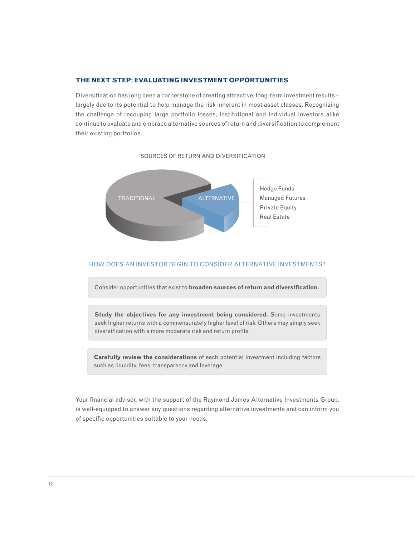## **THE NEXT STEP: EVALUATING INVESTMENT OPPORTUNITIES**

Diversification has long been a cornerstone of creating attractive, long-term investment results – largely due to its potential to help manage the risk inherent in most asset classes. Recognizing the challenge of recouping large portfolio losses, institutional and individual investors alike continue to evaluate and embrace alternative sources of return and diversification to complement their existing portfolios.

#### SOURCES OF RETURN AND DIVERSIFICATION



## HOW DOES AN INVESTOR BEGIN TO CONSIDER ALTERNATIVE INVESTMENTS?

Consider opportunities that exist to **broaden sources of return and diversification.**

**Study the objectives for any investment being considered.** Some investments seek higher returns with a commensurately higher level of risk. Others may simply seek diversification with a more moderate risk and return profile.

**Carefully review the considerations** of each potential investment including factors such as liquidity, fees, transparency and leverage.

Your financial advisor, with the support of the Raymond James Alternative Investments Group, is well-equipped to answer any questions regarding alternative investments and can inform you of specific opportunities suitable to your needs.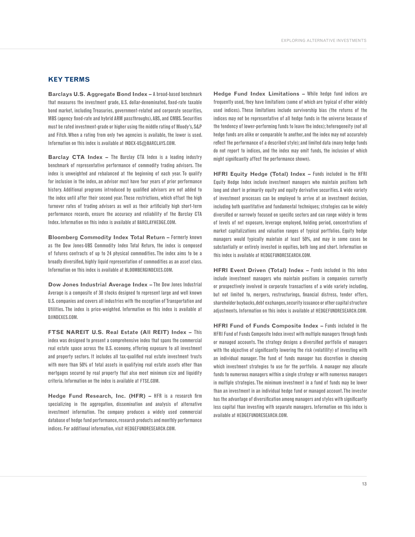#### **KEY TERMS**

**Barclays U.S. Aggregate Bond Index –** A broad-based benchmark that measures the investment grade, U.S. dollar-denominated, fixed-rate taxable bond market, including Treasuries, government-related and corporate securities, MBS (agency fixed-rate and hybrid ARM passthroughs), ABS, and CMBS. Securities must be rated investment-grade or higher using the middle rating of Moody's, S&P and Fitch. When a rating from only two agencies is available, the lower is used. Information on this index is available at INDEX-US@BARCLAYS.COM.

**Barclay CTA Index –** The Barclay CTA Index is a leading industry benchmark of representative performance of commodity trading advisors. The index is unweighted and rebalanced at the beginning of each year. To qualify for inclusion in the index, an advisor must have four years of prior performance history. Additional programs introduced by qualified advisors are not added to the index until after their second year. These restrictions, which offset the high turnover rates of trading advisors as well as their artificially high short-term performance records, ensure the accuracy and reliability of the Barclay CTA Index. Information on this index is available at BARCLAYHEDGE.COM.

**Bloomberg Commodity Index Total Return –** Formerly known as the Dow Jones-UBS Commodity Index Total Return, the index is composed of futures contracts of up to 24 physical commodities. The index aims to be a broadly diversified, highly liquid representation of commodities as an asset class. Information on this index is available at BLOOMBERGINDEXES.COM.

**Dow Jones Industrial Average Index –** The Dow Jones Industrial Average is a composite of 30 stocks designed to represent large and well known U.S. companies and covers all industries with the exception of Transportation and Utilities. The index is price-weighted. Information on this index is available at DJINDEXES.COM.

**FTSE NAREIT U.S. Real Estate (All REIT) Index –** This index was designed to present a comprehensive index that spans the commercial real estate space across the U.S. economy, offering exposure to all investment and property sectors. It includes all tax-qualified real estate investment trusts with more than 50% of total assets in qualifying real estate assets other than mortgages secured by real property that also meet minimum size and liquidity criteria. Information on the index is available at FTSE.COM.

**Hedge Fund Research, Inc. (HFR) –** HFR is a research firm specializing in the aggregation, dissemination and analysis of alternative investment information. The company produces a widely used commercial database of hedge fund performance, research products and monthly performance indices. For additional information, visit HEDGEFUNDRESEARCH.COM.

**Hedge Fund Index Limitations –** While hedge fund indices are frequently used, they have limitations (some of which are typical of other widely used indices). These limitations include survivorship bias (the returns of the indices may not be representative of all hedge funds in the universe because of the tendency of lower-performing funds to leave the index); heterogeneity (not all hedge funds are alike or comparable to another, and the index may not accurately reflect the performance of a described style); and limited data (many hedge funds do not report to indices, and the index may omit funds, the inclusion of which might significantly affect the performance shown).

**HFRI Equity Hedge (Total) Index –** Funds included in the HFRI Equity Hedge Index include investment managers who maintain positions both long and short in primarily equity and equity derivative securities. A wide variety of investment processes can be employed to arrive at an investment decision, including both quantitative and fundamental techniques; strategies can be widely diversified or narrowly focused on specific sectors and can range widely in terms of levels of net exposure, leverage employed, holding period, concentrations of market capitalizations and valuation ranges of typical portfolios. Equity hedge managers would typically maintain at least 50%, and may in some cases be substantially or entirely invested in equities, both long and short. Information on this index is available at HEDGEFUNDRESEARCH.COM.

**HFRI Event Driven (Total) Index –** Funds included in this index include investment managers who maintain positions in companies currently or prospectively involved in corporate transactions of a wide variety including, but not limited to, mergers, restructurings, financial distress, tender offers, shareholder buybacks, debt exchanges, security issuance or other capital structure adjustments. Information on this index is available at HEDGEFUNDRESEARCH.COM.

**HFRI Fund of Funds Composite Index –** Funds included in the HFRI Fund of Funds Composite Index invest with multiple managers through funds or managed accounts. The strategy designs a diversified portfolio of managers with the objective of significantly lowering the risk (volatility) of investing with an individual manager. The fund of funds manager has discretion in choosing which investment strategies to use for the portfolio. A manager may allocate funds to numerous managers within a single strategy or with numerous managers in multiple strategies. The minimum investment in a fund of funds may be lower than an investment in an individual hedge fund or managed account. The investor has the advantage of diversification among managers and styles with significantly less capital than investing with separate managers. Information on this index is available at HEDGEFUNDRESEARCH.COM.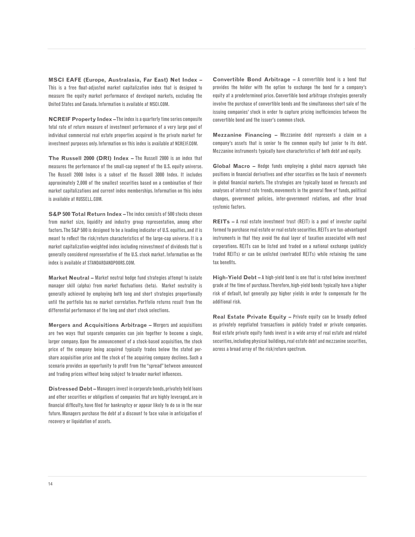**MSCI EAFE (Europe, Australasia, Far East) Net Index –** This is a free float-adjusted market capitalization index that is designed to measure the equity market performance of developed markets, excluding the United States and Canada. Information is available at MSCI.COM.

**NCREIF Property Index –** The index is a quarterly time series composite total rate of return measure of investment performance of a very large pool of individual commercial real estate properties acquired in the private market for investment purposes only. Information on this index is available at NCREIF.COM.

**The Russell 2000 (DRI) Index –** The Russell 2000 is an index that measures the performance of the small-cap segment of the U.S. equity universe. The Russell 2000 Index is a subset of the Russell 3000 Index. It includes approximately 2,000 of the smallest securities based on a combination of their market capitalizations and current index memberships. Information on this index is available at RUSSELL.COM.

**S&P 500 Total Return Index –** The index consists of 500 stocks chosen from market size, liquidity and industry group representation, among other factors. The S&P 500 is designed to be a leading indicator of U.S. equities, and it is meant to reflect the risk/return characteristics of the large-cap universe. It is a market capitalization-weighted index including reinvestment of dividends that is generally considered representative of the U.S. stock market. Information on the index is available at STANDARDANDPOORS.COM.

**Market Neutral –** Market neutral hedge fund strategies attempt to isolate manager skill (alpha) from market fluctuations (beta). Market neutrality is generally achieved by employing both long and short strategies proportionally until the portfolio has no market correlation. Portfolio returns result from the differential performance of the long and short stock selections.

**Mergers and Acquisitions Arbitrage –** Mergers and acquisitions are two ways that separate companies can join together to become a single, larger company. Upon the announcement of a stock-based acquisition, the stock price of the company being acquired typically trades below the stated pershare acquisition price and the stock of the acquiring company declines. Such a scenario provides an opportunity to profit from the "spread" between announced and trading prices without being subject to broader market influences.

**Distressed Debt –** Managers invest in corporate bonds, privately held loans and other securities or obligations of companies that are highly leveraged, are in financial difficulty, have filed for bankruptcy or appear likely to do so in the near future. Managers purchase the debt at a discount to face value in anticipation of recovery or liquidation of assets.

**Convertible Bond Arbitrage –** A convertible bond is a bond that provides the holder with the option to exchange the bond for a company's equity at a predetermined price. Convertible bond arbitrage strategies generally involve the purchase of convertible bonds and the simultaneous short sale of the issuing companies' stock in order to capture pricing inefficiencies between the convertible bond and the issuer's common stock.

**Mezzanine Financing –** Mezzanine debt represents a claim on a company's assets that is senior to the common equity but junior to its debt. Mezzanine instruments typically have characteristics of both debt and equity.

**Global Macro –** Hedge funds employing a global macro approach take positions in financial derivatives and other securities on the basis of movements in global financial markets. The strategies are typically based on forecasts and analyses of interest rate trends, movements in the general flow of funds, political changes, government policies, inter-government relations, and other broad systemic factors.

**REITs –** A real estate investment trust (REIT) is a pool of investor capital formed to purchase real estate or real estate securities. REITs are tax-advantaged instruments in that they avoid the dual layer of taxation associated with most corporations. REITs can be listed and traded on a national exchange (publicly traded REITs) or can be unlisted (nontraded REITs) while retaining the same tax benefits.

**High-Yield Debt –** A high-yield bond is one that is rated below investment grade at the time of purchase. Therefore, high-yield bonds typically have a higher risk of default, but generally pay higher yields in order to compensate for the additional risk.

**Real Estate Private Equity –** Private equity can be broadly defined as privately negotiated transactions in publicly traded or private companies. Real estate private equity funds invest in a wide array of real estate and related securities, including physical buildings, real estate debt and mezzanine securities, across a broad array of the risk/return spectrum.